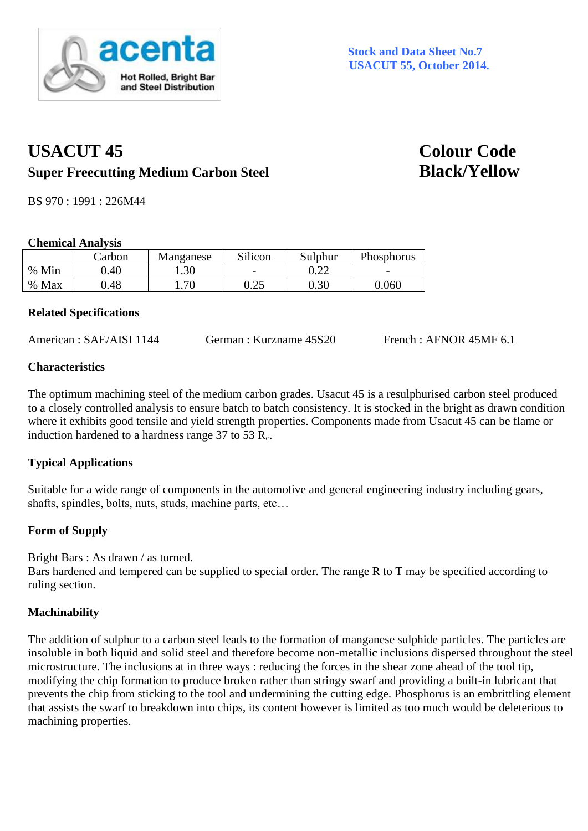

# **USACUT 45 Colour Code Super Freecutting Medium Carbon Steel Black/Yellow**

BS 970 : 1991 : 226M44

#### **Chemical Analysis**

|       | Carbon | Manganese | Silicon      | Sulphur  | Phosphorus               |
|-------|--------|-----------|--------------|----------|--------------------------|
| % Min | ).40   | . .30     |              | J.ZZ     | $\overline{\phantom{0}}$ |
| % Max | .48    | .70       | ∩ つち<br>ل∠…ل | $0.30\,$ | 0.060                    |

## **Related Specifications**

American : SAE/AISI 1144 German : Kurzname 45S20 French : AFNOR 45MF 6.1

## **Characteristics**

The optimum machining steel of the medium carbon grades. Usacut 45 is a resulphurised carbon steel produced to a closely controlled analysis to ensure batch to batch consistency. It is stocked in the bright as drawn condition where it exhibits good tensile and yield strength properties. Components made from Usacut 45 can be flame or induction hardened to a hardness range 37 to 53  $R_c$ .

# **Typical Applications**

Suitable for a wide range of components in the automotive and general engineering industry including gears, shafts, spindles, bolts, nuts, studs, machine parts, etc…

# **Form of Supply**

Bright Bars : As drawn / as turned.

Bars hardened and tempered can be supplied to special order. The range R to T may be specified according to ruling section.

# **Machinability**

The addition of sulphur to a carbon steel leads to the formation of manganese sulphide particles. The particles are insoluble in both liquid and solid steel and therefore become non-metallic inclusions dispersed throughout the steel microstructure. The inclusions at in three ways : reducing the forces in the shear zone ahead of the tool tip, modifying the chip formation to produce broken rather than stringy swarf and providing a built-in lubricant that prevents the chip from sticking to the tool and undermining the cutting edge. Phosphorus is an embrittling element that assists the swarf to breakdown into chips, its content however is limited as too much would be deleterious to machining properties.